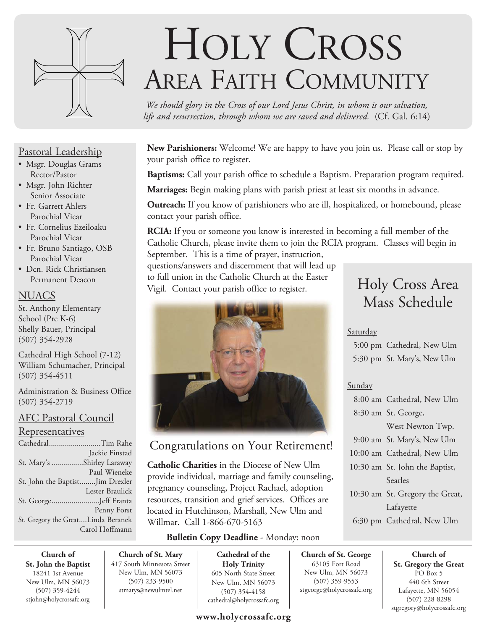

### Pastoral Leadership

- Msgr. Douglas Grams Rector/Pastor
- Msgr. John Richter Senior Associate
- Fr. Garrett Ahlers Parochial Vicar
- Fr. Cornelius Ezeiloaku Parochial Vicar
- Fr. Bruno Santiago, OSB Parochial Vicar
- Dcn. Rick Christiansen Permanent Deacon

#### **NUACS**

St. Anthony Elementary School (Pre K-6) Shelly Bauer, Principal (507) 354-2928

Cathedral High School (7-12) William Schumacher, Principal (507) 354-4511

Administration & Business Office (507) 354-2719

#### AFC Pastoral Council

#### **Representatives**

| CathedralTim Rahe                  |
|------------------------------------|
| Jackie Finstad                     |
| St. Mary's Shirley Laraway         |
| Paul Wieneke                       |
| St. John the BaptistJim Drexler    |
| Lester Braulick                    |
| St. GeorgeJeff Franta              |
| Penny Forst                        |
| St. Gregory the GreatLinda Beranek |
| Carol Hoffmann                     |

# HOLY CROSS AREA FAITH COMMUNITY

*We should glory in the Cross of our Lord Jesus Christ, in whom is our salvation, life and resurrection, through whom we are saved and delivered.* (Cf. Gal. 6:14)

**New Parishioners:** Welcome! We are happy to have you join us. Please call or stop by your parish office to register.

**Baptisms:** Call your parish office to schedule a Baptism. Preparation program required.

**Marriages:** Begin making plans with parish priest at least six months in advance.

**Outreach:** If you know of parishioners who are ill, hospitalized, or homebound, please contact your parish office.

**RCIA:** If you or someone you know is interested in becoming a full member of the Catholic Church, please invite them to join the RCIA program. Classes will begin in September. This is a time of prayer, instruction,

questions/answers and discernment that will lead up to full union in the Catholic Church at the Easter Vigil. Contact your parish office to register.



## Congratulations on Your Retirement!

**Catholic Charities** in the Diocese of New Ulm provide individual, marriage and family counseling, pregnancy counseling, Project Rachael, adoption resources, transition and grief services. Offices are located in Hutchinson, Marshall, New Ulm and Willmar. Call 1-866-670-5163

#### **Bulletin Copy Deadline** - Monday: noon

**Church of St. John the Baptist** 18241 1st Avenue New Ulm, MN 56073 (507) 359-4244 stjohn@holycrossafc.org

**Church of St. Mary** 417 South Minnesota Street New Ulm, MN 56073 (507) 233-9500 stmarys@newulmtel.net

**Cathedral of the Holy Trinity** 605 North State Street New Ulm, MN 56073 (507) 354-4158 cathedral@holycrossafc.org

#### **www.holycrossafc.org**

# Holy Cross Area Mass Schedule

#### Saturday

 5:00 pm Cathedral, New Ulm 5:30 pm St. Mary's, New Ulm

#### Sunday

**Church of St. George** 63105 Fort Road New Ulm, MN 56073 (507) 359-9553 stgeorge@holycrossafc.org

| 8:00 am Cathedral, New Ulm      |
|---------------------------------|
| 8:30 am St. George,             |
| West Newton Twp.                |
| 9:00 am St. Mary's, New Ulm     |
| 10:00 am Cathedral, New Ulm     |
| 10:30 am St. John the Baptist,  |
| Searles                         |
| 10:30 am St. Gregory the Great, |
| Lafayette                       |
| 6:30 pm Cathedral, New Ulm      |

**Church of St. Gregory the Great**  PO Box 5 440 6th Street Lafayette, MN 56054 (507) 228-8298 stgregory@holycrossafc.org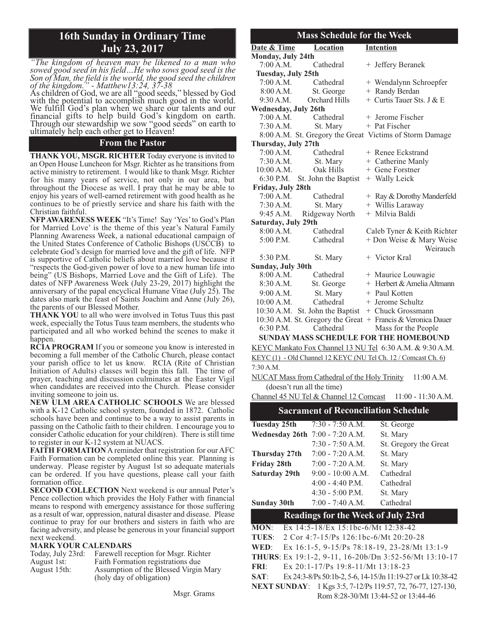## **16th Sunday in Ordinary Time July 23, 2017**

*"The kingdom of heaven may be likened to a man who sowed good seed in his field…He who sows good seed is the Son of Man, the field is the world, the good seed the children of the kingdom." - Matthew13:24, 37-38*

As children of God, we are all "good seeds," blessed by God with the potential to accomplish much good in the world. We fulfill God's plan when we share our talents and our financial gifts to help build God's kingdom on earth. Through our stewardship we sow "good seeds" on earth to ultimately help each other get to Heaven!

#### **From the Pastor**

**THANK YOU, MSGR. RICHTER** Today everyone is invited to an Open House Luncheon for Msgr. Richter as he transitions from active ministry to retirement. I would like to thank Msgr. Richter for his many years of service, not only in our area, but throughout the Diocese as well. I pray that he may be able to enjoy his years of well-earned retirement with good health as he continues to be of priestly service and share his faith with the Christian faithful.

**NFP AWARENESS WEEK** "It's Time! Say 'Yes' to God's Plan for Married Love' is the theme of this year's Natural Family Planning Awareness Week, a national educational campaign of the United States Conference of Catholic Bishops (USCCB) to celebrate God's design for married love and the gift of life. NFP is supportive of Catholic beliefs about married love because it "respects the God-given power of love to a new human life into being" (US Bishops, Married Love and the Gift of Life). The dates of NFP Awareness Week (July 23-29, 2017) highlight the anniversary of the papal encyclical Humane Vitae (July 25). The dates also mark the feast of Saints Joachim and Anne (July 26), the parents of our Blessed Mother.

**THANK YOU** to all who were involved in Totus Tuus this past week, especially the Totus Tuus team members, the students who participated and all who worked behind the scenes to make it happen.

**RCIA PROGRAM** If you or someone you know is interested in becoming a full member of the Catholic Church, please contact your parish office to let us know. RCIA (Rite of Christian Initiation of Adults) classes will begin this fall. The time of prayer, teaching and discussion culminates at the Easter Vigil when candidates are received into the Church. Please consider inviting someone to join us.

**NEW ULM AREA CATHOLIC SCHOOLS** We are blessed with a K-12 Catholic school system, founded in 1872. Catholic schools have been and continue to be a way to assist parents in passing on the Catholic faith to their children. I encourage you to consider Catholic education for your child(ren). There is still time to register in our K-12 system at NUACS.

**FAITH FORMATION** A reminder that registration for our AFC Faith Formation can be completed online this year. Planning is underway. Please register by August 1st so adequate materials can be ordered. If you have questions, please call your faith formation office.

**SECOND COLLECTION** Next weekend is our annual Peter's Pence collection which provides the Holy Father with financial means to respond with emergency assistance for those suffering as a result of war, oppression, natural disaster and disease. Please continue to pray for our brothers and sisters in faith who are facing adversity, and please be generous in your financial support next weekend.

#### **MARK YOUR CALENDARS**

| Today, July 23rd: | Farewell reception for Msgr. Richter  |
|-------------------|---------------------------------------|
| August 1st:       | Faith Formation registrations due     |
| August 15th:      | Assumption of the Blessed Virgin Mary |
|                   | (holy day of obligation)              |

#### **Mass Schedule for the Week**

| THROS SCHUGHIC TOT THE                       |                                |                                                               |  |  |
|----------------------------------------------|--------------------------------|---------------------------------------------------------------|--|--|
|                                              | Date & Time Location           | <b>Intention</b>                                              |  |  |
| Monday, July 24th                            |                                |                                                               |  |  |
| 7:00 A.M.                                    | Cathedral                      | + Jeffery Beranek                                             |  |  |
| Tuesday, July 25th                           |                                |                                                               |  |  |
|                                              | 7:00 A.M. Cathedral            | + Wendalynn Schroepfer                                        |  |  |
| 8:00 A.M.                                    | St. George                     | + Randy Berdan                                                |  |  |
|                                              | 9:30 A.M. Orchard Hills        | + Curtis Tauer Sts. J & E                                     |  |  |
| <b>Wednesday, July 26th</b>                  |                                |                                                               |  |  |
| 7:00 A.M.                                    | Cathedral                      | + Jerome Fischer                                              |  |  |
|                                              | 7:30 A.M. St. Mary             | + Pat Fischer                                                 |  |  |
|                                              |                                | 8:00 A.M. St. Gregory the Great Victims of Storm Damage       |  |  |
| Thursday, July 27th                          |                                |                                                               |  |  |
| 7:00 A.M.                                    | Cathedral                      | + Renee Eckstrand                                             |  |  |
|                                              | 7:30 A.M. St. Mary             | + Catherine Manly                                             |  |  |
| 10:00 A.M.                                   | Oak Hills                      | + Gene Forstner                                               |  |  |
|                                              | 6:30 P.M. St. John the Baptist | + Wally Leick                                                 |  |  |
| Friday, July 28th                            |                                |                                                               |  |  |
|                                              | 7:00 A.M. Cathedral            | + Ray & Dorothy Manderfeld                                    |  |  |
|                                              | 7:30 A.M. St. Mary             | + Willis Laraway                                              |  |  |
|                                              | 9:45 A.M. Ridgeway North       | + Milvia Baldi                                                |  |  |
| Saturday, July 29th                          |                                |                                                               |  |  |
|                                              | 8:00 A.M. Cathedral            | Caleb Tyner & Keith Richter                                   |  |  |
| 5:00 P.M.                                    | Cathedral                      | + Don Weise & Mary Weise                                      |  |  |
|                                              |                                | Weirauch                                                      |  |  |
| 5:30 P.M.                                    | St. Mary                       | + Victor Kral                                                 |  |  |
| <b>Sunday, July 30th</b>                     |                                |                                                               |  |  |
| 8:00 A.M.                                    | Cathedral                      | + Maurice Louwagie                                            |  |  |
|                                              | 8:30 A.M. St. George           | + Herbert & Amelia Altmann                                    |  |  |
|                                              | 9:00 A.M. St. Mary             | + Paul Kotten                                                 |  |  |
| $10:00$ A.M.                                 | Cathedral                      | + Jerome Schultz                                              |  |  |
|                                              |                                | 10:30 A.M. St. John the Baptist + Chuck Grossmann             |  |  |
|                                              |                                | 10:30 A.M. St. Gregory the Great + Francis & Veronica Dauer   |  |  |
| $6:30$ P.M.                                  | Cathedral                      | Mass for the People                                           |  |  |
|                                              |                                | <b>SUNDAY MASS SCHEDULE FOR THE HOMEBOUND</b>                 |  |  |
|                                              |                                | KEYC Mankato Fox Channel 13 NU Tel 6:30 A.M. & 9:30 A.M.      |  |  |
|                                              |                                | KEYC(1) - Old Channel 12 KEYC (NU Tel Ch. 12 / Comcast Ch. 6) |  |  |
| $\overline{z}$ $\overline{z}$ $\overline{z}$ |                                |                                                               |  |  |

7:30 A.M.

NUCAT Mass from Cathedral of the Holy Trinity 11:00 A.M. (doesn't run all the time)

Channel 45 NU Tel & Channel 12 Comcast 11:00 - 11:30 A.M.

#### **Sacrament of Reconciliation Schedule**

| Tuesday 25th<br>$7:30 - 7:50$ A.M. | St. George            |
|------------------------------------|-----------------------|
| Wednesday 26th 7:00 - 7:20 A.M.    | St. Mary              |
| $7:30 - 7:50 A.M.$                 | St. Gregory the Great |
| $7:00 - 7:20 A.M.$                 | St. Mary              |
| $7:00 - 7:20 A.M.$                 | St. Mary              |
| $9:00 - 10:00 A.M.$                | Cathedral             |
| $4:00 - 4:40$ P.M.                 | Cathedral             |
| $4:30 - 5:00$ P.M.                 | St. Mary              |
| $7:00 - 7:40 A.M.$                 | Cathedral             |
|                                    |                       |

#### **Readings for the Week of July 23rd**

**MON**: Ex 14:5-18/Ex 15:1bc-6/Mt 12:38-42 **TUES**: 2 Cor 4:7-15/Ps 126:1bc-6/Mt 20:20-28 **WED**: Ex 16:1-5, 9-15/Ps 78:18-19, 23-28/Mt 13:1-9 **THURS**: Ex 19:1-2, 9-11, 16-20b/Dn 3:52-56/Mt 13:10-17 **FRI**: Ex 20:1-17/Ps 19:8-11/Mt 13:18-23 **SAT**: Ex 24:3-8/Ps 50:1b-2, 5-6, 14-15/Jn 11:19-27 or Lk 10:38-42 **NEXT SUNDAY**: 1 Kgs 3:5, 7-12/Ps 119:57, 72, 76-77, 127-130, Rom 8:28-30/Mt 13:44-52 or 13:44-46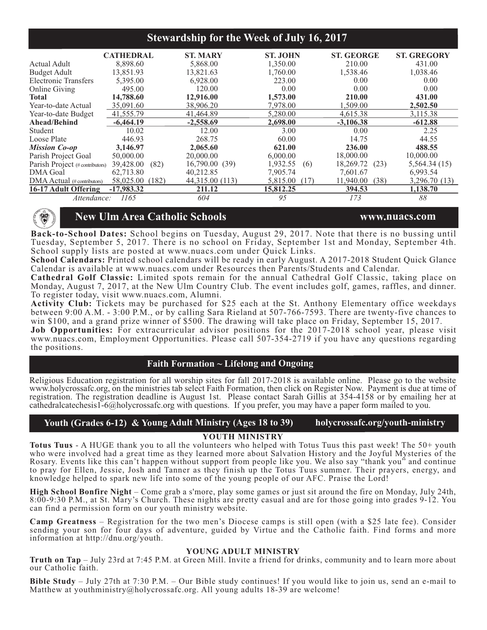#### **Stewardship for the Week of July 16, 2017**

|                                     | <b>CATHEDRAL</b>   | <b>ST. MARY</b> | <b>ST. JOHN</b>  | <b>ST. GEORGE</b> | <b>ST. GREGORY</b> |
|-------------------------------------|--------------------|-----------------|------------------|-------------------|--------------------|
| Actual Adult                        | 8,898.60           | 5,868.00        | 1,350.00         | 210.00            | 431.00             |
| <b>Budget Adult</b>                 | 13,851.93          | 13,821.63       | 1,760.00         | 1,538.46          | 1,038.46           |
| <b>Electronic Transfers</b>         | 5,395.00           | 6,928.00        | 223.00           | 0.00              | 0.00               |
| Online Giving                       | 495.00             | 120.00          | 0.00             | 0.00              | 0.00               |
| <b>Total</b>                        | 14,788.60          | 12,916.00       | 1,573.00         | 210.00            | 431.00             |
| Year-to-date Actual                 | 35,091.60          | 38,906.20       | 7.978.00         | 1.509.00          | 2,502.50           |
| Year-to-date Budget                 | 41,555.79          | 41,464.89       | 5,280.00         | 4,615.38          | 3,115.38           |
| Ahead/Behind                        | $-6,464.19$        | $-2,558.69$     | 2,698.00         | $-3,106.38$       | $-612.88$          |
| Student                             | 10.02              | 12.00           | 3.00             | 0.00              | 2.25               |
| Loose Plate                         | 446.93             | 268.75          | 60.00            | 14.75             | 44.55              |
| <b>Mission Co-op</b>                | 3,146.97           | 2,065.60        | 621.00           | 236.00            | 488.55             |
| Parish Project Goal                 | 50,000.00          | 20,000.00       | 6,000.00         | 18,000.00         | 10,000.00          |
| Parish Project (# contributors)     | 39,428.00<br>(82)  | 16,790.00(39)   | 1,932.55<br>(6)  | 18,269.72<br>(23) | 5,564.34(15)       |
| <b>DMA</b> Goal                     | 62,713.80          | 40,212.85       | 7,905.74         | 7,601.67          | 6,993.54           |
| $\rm{DMA}\,Actual$ (# contributors) | 58,025.00<br>(182) | 44,315.00 (113) | 5,815.00<br>(17) | (38)<br>11,940.00 | 3,296.70 (13)      |
| 16-17 Adult Offering                | $-17,983.32$       | 211.12          | 15.812.25        | 394.53            | 1,138.70           |
| Attendance:                         | 1165               | 604             | 95               | 173               | 88                 |



#### **New Ulm Area Catholic Schools www.nuacs.com**

**Back-to-School Dates:** School begins on Tuesday, August 29, 2017. Note that there is no bussing until Tuesday, September 5, 2017. There is no school on Friday, September 1st and Monday, September 4th. School supply lists are posted at www.nuacs.com under Quick Links.

**School Calendars:** Printed school calendars will be ready in early August. A 2017-2018 Student Quick Glance Calendar is available at www.nuacs.com under Resources then Parents/Students and Calendar.

**Cathedral Golf Classic:** Limited spots remain for the annual Cathedral Golf Classic, taking place on Monday, August 7, 2017, at the New Ulm Country Club. The event includes golf, games, raffles, and dinner. To register today, visit www.nuacs.com, Alumni.

**Activity Club:** Tickets may be purchased for \$25 each at the St. Anthony Elementary office weekdays between 9:00 A.M. - 3:00 P.M., or by calling Sara Rieland at 507-766-7593. There are twenty-five chances to win \$100, and a grand prize winner of \$500. The drawing will take place on Friday, September 15, 2017.

**Job Opportunities:** For extracurricular advisor positions for the 2017-2018 school year, please visit www.nuacs.com, Employment Opportunities. Please call 507-354-2719 if you have any questions regarding the positions.

#### **Faith Formation ~ Lifelong and Ongoing**

Religious Education registration for all worship sites for fall 2017-2018 is available online. Please go to the website www.holycrossafc.org, on the ministries tab select Faith Formation, then click on Register Now. Payment is due at time of registration. The registration deadline is August 1st. Please contact Sarah Gillis at 354-4158 or by emailing her at cathedralcatechesis1-6@holycrossafc.org with questions. If you prefer, you may have a paper form mailed to you.

#### **Youth (Grades 6-12) & Young Adult Ministry (Ages 18 to 39) holycrossafc.org/youth-ministry**

#### **YOUTH MINISTRY**

**Totus Tuus** - A HUGE thank you to all the volunteers who helped with Totus Tuus this past week! The 50+ youth who were involved had a great time as they learned more about Salvation History and the Joyful Mysteries of the Rosary. Events like this can't happen without support from people like you. We also say "thank you" and continue to pray for Ellen, Jessie, Josh and Tanner as they finish up the Totus Tuus summer. Their prayers, energy, and knowledge helped to spark new life into some of the young people of our AFC. Praise the Lord!

**High School Bonfire Night** – Come grab a s'more, play some games or just sit around the fire on Monday, July 24th, 8:00-9:30 P.M., at St. Mary's Church. These nights are pretty casual and are for those going into grades 9-12. You can find a permission form on our youth ministry website.

**Camp Greatness** – Registration for the two men's Diocese camps is still open (with a \$25 late fee). Consider sending your son for four days of adventure, guided by Virtue and the Catholic faith. Find forms and more information at http://dnu.org/youth.

#### **YOUNG ADULT MINISTRY**

**Truth on Tap** – July 23rd at 7:45 P.M. at Green Mill. Invite a friend for drinks, community and to learn more about our Catholic faith.

**Bible Study** – July 27th at 7:30 P.M. – Our Bible study continues! If you would like to join us, send an e-mail to Matthew at youthministry@holycrossafc.org. All young adults 18-39 are welcome!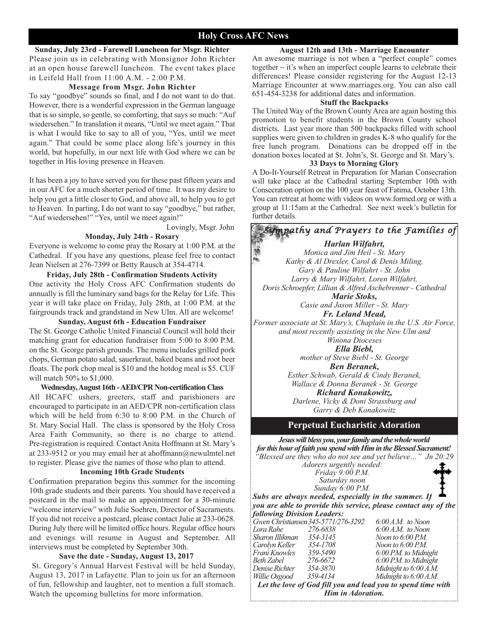#### **Holy Cross AFC News**

#### **Sunday, July 23rd - Farewell Luncheon for Msgr. Richter**

Please join us in celebrating with Monsignor John Richter at an open house farewell luncheon. The event takes place in Leifeld Hall from 11:00 A.M. - 2:00 P.M.

#### **Message from Msgr. John Richter**

To say "goodbye" sounds so final, and I do not want to do that. However, there is a wonderful expression in the German language that is so simple, so gentle, so comforting, that says so much: "Auf wiedersehen." In translation it means, "Until we meet again." That is what I would like to say to all of you, "Yes, until we meet again." That could be some place along life's journey in this world, but hopefully, in our next life with God where we can be together in His loving presence in Heaven.

It has been a joy to have served you for these past fifteen years and in our AFC for a much shorter period of time. It was my desire to help you get a little closer to God, and above all, to help you to get to Heaven. In parting, I do not want to say "goodbye," but rather, "Auf wiedersehen!" "Yes, until we meet again!"

Lovingly, Msgr. John

#### **Monday, July 24th - Rosary**

Everyone is welcome to come pray the Rosary at 1:00 P.M. at the Cathedral. If you have any questions, please feel free to contact Jean Nielsen at 276-7399 or Betty Rausch at 354-4714.

**Friday, July 28th - Confirmation Students Activity** One activity the Holy Cross AFC Confirmation students do annually is fill the luminary sand bags for the Relay for Life. This year it will take place on Friday, July 28th, at 1:00 P.M. at the fairgrounds track and grandstand in New Ulm. All are welcome!

**Sunday, August 6th - Education Fundraiser** The St. George Catholic United Financial Council will hold their matching grant for education fundraiser from 5:00 to 8:00 P.M. on the St. George parish grounds. The menu includes grilled pork chops, German potato salad, sauerkraut, baked beans and root beer floats. The pork chop meal is \$10 and the hotdog meal is \$5. CUF will match 50% to \$1,000.

#### **Wednesday, August 16th - AED/CPR Non-certification Class**

All HCAFC ushers, greeters, staff and parishioners are encouraged to participate in an AED/CPR non-certification class which will be held from 6:30 to 8:00 P.M. in the Church of St. Mary Social Hall. The class is sponsored by the Holy Cross Area Faith Community, so there is no charge to attend. Pre-registration is required. Contact Anita Hoffmann at St. Mary's at 233-9512 or you may email her at ahoffmann@newulmtel.net to register. Please give the names of those who plan to attend.

#### **Incoming 10th Grade Students**

Confirmation preparation begins this summer for the incoming 10th grade students and their parents. You should have received a postcard in the mail to make an appointment for a 30-minute "welcome interview" with Julie Soehren, Director of Sacraments. If you did not receive a postcard, please contact Julie at 233-0628. During July there will be limited office hours. Regular office hours and evenings will resume in August and September. All interviews must be completed by September 30th.

#### **Save the date - Sunday, August 13, 2017**

St. Gregory's Annual Harvest Festival will be held Sunday, August 13, 2017 in Lafayette. Plan to join us for an afternoon of fun, fellowship and laughter, not to mention a full stomach. Watch the upcoming bulletins for more information.

#### **August 12th and 13th - Marriage Encounter**

An awesome marriage is not when a "perfect couple" comes together  $\sim$  it's when an imperfect couple learns to celebrate their differences! Please consider registering for the August 12-13 Marriage Encounter at www.marriages.org. You can also call 651-454-3238 for additional dates and information.

#### **Stuff the Backpacks**

The United Way of the Brown County Area are again hosting this promotion to benefit students in the Brown County school districts. Last year more than 500 backpacks filled with school supplies were given to children in grades K-8 who qualify for the free lunch program. Donations can be dropped off in the donation boxes located at St. John's, St. George and St. Mary's.

#### **33 Days to Morning Glory**

A Do-It-Yourself Retreat in Preparation for Marian Consecration will take place at the Cathedral starting September 10th with Consecration option on the 100 year feast of Fatima, October 13th. You can retreat at home with videos on www.formed.org or with a group at 11:15am at the Cathedral. See next week's bulletin for further details.

*Sympathy and Prayers to the Families of Harlan Wilfahrt, Monica and Jim Heil - St. Mary Kathy & Al Drexler, Carol & Denis Miling, Gary & Pauline Wilfahrt - St. John Larry & Mary Wilfahrt, Loren Wilfahrt, Doris Schroepfer, Lillian & Alfred Aschebrenner - Cathedral Marie Stoks, Casie and Jason Miller - St. Mary Fr. Leland Mead, Former associate at St. Mary's, Chaplain in the U.S. Air Force, and most recently assisting in the New Ulm and Winona Dioceses Ella Biebl,*

*mother of Steve Biebl - St. George Ben Beranek,*

*Esther Schwab, Gerald & Cindy Beranek, Wallace & Donna Beranek - St. George*

*Richard Konakowitz,*

*Darlene, Vicky & Doni Strassburg and Garry & Deb Konakowitz*

#### **Perpetual Eucharistic Adoration**

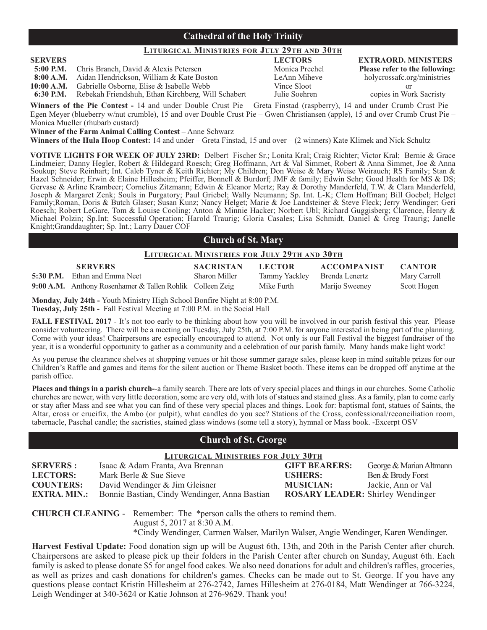#### **Cathedral of the Holy Trinity**

#### **LITURGICAL MINISTRIES FOR JULY 29TH AND 30TH**

**5:00 P.M.** Chris Branch, David & Alexis Petersen Monica Prechel Please refer to the following:<br> **8:00 A.M.** Aidan Hendrickson, William & Kate Boston LeAnn Miheve holycrossafc.org/ministries

Aidan Hendrickson, William & Kate Boston

**10:00 A.M.** Gabrielle Osborne, Elise & Isabelle Webb Vince Sloot or Rebekah Friendshuh, Ethan Kirchberg, Will Schabert

**Winners of the Pie Contest -** 14 and under Double Crust Pie – Greta Finstad (raspberry), 14 and under Crumb Crust Pie – Egen Meyer (blueberry w/nut crumble), 15 and over Double Crust Pie – Gwen Christiansen (apple), 15 and over Crumb Crust Pie – Monica Mueller (rhubarb custard)

**Winner of the Farm Animal Calling Contest –** Anne Schwarz

**Winners of the Hula Hoop Contest:** 14 and under – Greta Finstad, 15 and over – (2 winners) Kate Klimek and Nick Schultz

**VOTIVE LIGHTS FOR WEEK OF JULY 23RD:** Delbert Fischer Sr.; Lonita Kral; Craig Richter; Victor Kral; Bernie & Grace Lindmeier; Danny Hegler, Robert & Hildegard Roesch; Greg Hoffmann, Art & Val Simmet, Robert & Anna Simmet, Joe & Anna Soukup; Steve Reinhart; Int. Caleb Tyner & Keith Richter; My Children; Don Weise & Mary Weise Weirauch; RS Family; Stan & Hazel Schneider; Erwin & Elaine Hillesheim; Pfeiffer, Bonnell & Burdorf; JMF & family; Edwin Sehr; Good Health for MS & DS; Gervase & Arline Krambeer; Cornelius Zitzmann; Edwin & Eleanor Mertz; Ray & Dorothy Manderfeld, T.W. & Clara Manderfeld, Joseph & Margaret Zenk; Souls in Purgatory; Paul Griebel; Wally Neumann; Sp. Int. L-K; Clem Hoffman; Bill Goebel; Helget Family;Roman, Doris & Butch Glaser; Susan Kunz; Nancy Helget; Marie & Joe Landsteiner & Steve Fleck; Jerry Wendinger; Geri Roesch; Robert LeGare, Tom & Louise Cooling; Anton & Minnie Hacker; Norbert Ubl; Richard Guggisberg; Clarence, Henry & Michael Polzin; Sp.Int; Successful Operation; Harold Traurig; Gloria Casales; Lisa Schmidt, Daniel & Greg Traurig; Janelle Knight;Granddaughter; Sp. Int.; Larry Dauer COF

#### **Church of St. Mary**

#### **LITURGICAL MINISTRIES FOR JULY 29TH AND 30TH**

| <b>SERVERS</b>                                            | <b>SACRISTAN</b>     | <b>LECTOR</b>                | <b>ACCOMPANIST</b> | <b>CANTOR</b> |
|-----------------------------------------------------------|----------------------|------------------------------|--------------------|---------------|
| <b>5:30 P.M.</b> Ethan and Emma Neet                      | <b>Sharon Miller</b> | Tammy Yackley Brenda Lenertz |                    | Mary Carroll  |
| 9:00 A.M. Anthony Rosenhamer & Tallen Rohlik Colleen Zeig |                      | Mike Furth                   | Marijo Sweeney     | Scott Hogen   |

**Monday, July 24th -** Youth Ministry High School Bonfire Night at 8:00 P.M. **Tuesday, July 25th -** Fall Festival Meeting at 7:00 P.M. in the Social Hall

**FALL FESTIVAL 2017** - It's not too early to be thinking about how you will be involved in our parish festival this year. Please consider volunteering. There will be a meeting on Tuesday, July 25th, at 7:00 P.M. for anyone interested in being part of the planning. Come with your ideas! Chairpersons are especially encouraged to attend. Not only is our Fall Festival the biggest fundraiser of the year, it is a wonderful opportunity to gather as a community and a celebration of our parish family. Many hands make light work!

As you peruse the clearance shelves at shopping venues or hit those summer garage sales, please keep in mind suitable prizes for our Children's Raffle and games and items for the silent auction or Theme Basket booth. These items can be dropped off anytime at the parish office.

**Places and things in a parish church-**-a family search. There are lots of very special places and things in our churches. Some Catholic churches are newer, with very little decoration, some are very old, with lots of statues and stained glass. As a family, plan to come early or stay after Mass and see what you can find of these very special places and things. Look for: baptismal font, statues of Saints, the Altar, cross or crucifix, the Ambo (or pulpit), what candles do you see? Stations of the Cross, confessional/reconciliation room, tabernacle, Paschal candle; the sacristies, stained glass windows (some tell a story), hymnal or Mass book. -Excerpt OSV

#### **Church of St. George**

| <b>LITURGICAL MINISTRIES FOR JULY 30TH</b> |                                               |                                         |                         |  |
|--------------------------------------------|-----------------------------------------------|-----------------------------------------|-------------------------|--|
| <b>SERVERS:</b>                            | Isaac & Adam Franta, Ava Brennan              | <b>GIFT BEARERS:</b>                    | George & Marian Altmann |  |
| <b>LECTORS:</b>                            | Mark Berle & Sue Sieve                        | <b>USHERS:</b>                          | Ben & Brody Forst       |  |
| <b>COUNTERS:</b>                           | David Wendinger & Jim Gleisner                | <b>MUSICIAN:</b>                        | Jackie, Ann or Val      |  |
| <b>EXTRA. MIN.:</b>                        | Bonnie Bastian, Cindy Wendinger, Anna Bastian | <b>ROSARY LEADER:</b> Shirley Wendinger |                         |  |
|                                            |                                               |                                         |                         |  |

**CHURCH CLEANING** - Remember: The \*person calls the others to remind them. August 5, 2017 at 8:30 A.M. \*Cindy Wendinger, Carmen Walser, Marilyn Walser, Angie Wendinger, Karen Wendinger.

**Harvest Festival Update:** Food donation sign up will be August 6th, 13th, and 20th in the Parish Center after church. Chairpersons are asked to please pick up their folders in the Parish Center after church on Sunday, August 6th. Each family is asked to please donate \$5 for angel food cakes. We also need donations for adult and children's raffles, groceries, as well as prizes and cash donations for children's games. Checks can be made out to St. George. If you have any questions please contact Kristin Hillesheim at 276-2742, James Hillesheim at 276-0184, Matt Wendinger at 766-3224, Leigh Wendinger at 340-3624 or Katie Johnson at 276-9629. Thank you!

**SERVERS LECTORS EXTRAORD. MINISTERS**